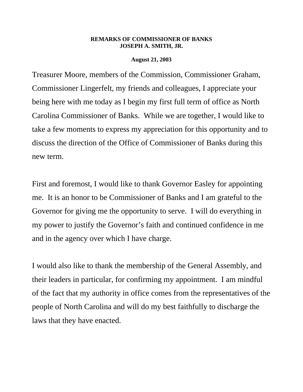## **REMARKS OF COMMISSIONER OF BANKS JOSEPH A. SMITH, JR.**

## **August 21, 2003**

Treasurer Moore, members of the Commission, Commissioner Graham, Commissioner Lingerfelt, my friends and colleagues, I appreciate your being here with me today as I begin my first full term of office as North Carolina Commissioner of Banks. While we are together, I would like to take a few moments to express my appreciation for this opportunity and to discuss the direction of the Office of Commissioner of Banks during this new term.

First and foremost, I would like to thank Governor Easley for appointing me. It is an honor to be Commissioner of Banks and I am grateful to the Governor for giving me the opportunity to serve. I will do everything in my power to justify the Governor's faith and continued confidence in me and in the agency over which I have charge.

I would also like to thank the membership of the General Assembly, and their leaders in particular, for confirming my appointment. I am mindful of the fact that my authority in office comes from the representatives of the people of North Carolina and will do my best faithfully to discharge the laws that they have enacted.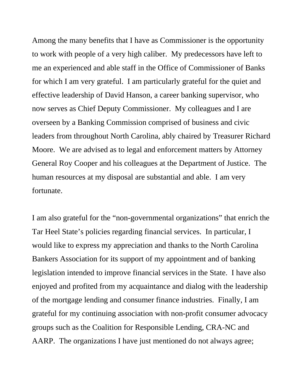Among the many benefits that I have as Commissioner is the opportunity to work with people of a very high caliber. My predecessors have left to me an experienced and able staff in the Office of Commissioner of Banks for which I am very grateful. I am particularly grateful for the quiet and effective leadership of David Hanson, a career banking supervisor, who now serves as Chief Deputy Commissioner. My colleagues and I are overseen by a Banking Commission comprised of business and civic leaders from throughout North Carolina, ably chaired by Treasurer Richard Moore. We are advised as to legal and enforcement matters by Attorney General Roy Cooper and his colleagues at the Department of Justice. The human resources at my disposal are substantial and able. I am very fortunate.

I am also grateful for the "non-governmental organizations" that enrich the Tar Heel State's policies regarding financial services. In particular, I would like to express my appreciation and thanks to the North Carolina Bankers Association for its support of my appointment and of banking legislation intended to improve financial services in the State. I have also enjoyed and profited from my acquaintance and dialog with the leadership of the mortgage lending and consumer finance industries. Finally, I am grateful for my continuing association with non-profit consumer advocacy groups such as the Coalition for Responsible Lending, CRA-NC and AARP. The organizations I have just mentioned do not always agree;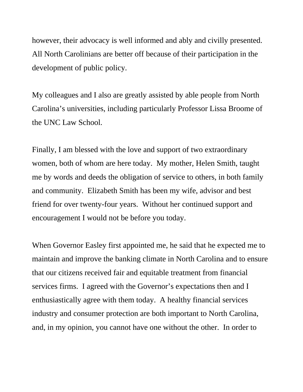however, their advocacy is well informed and ably and civilly presented. All North Carolinians are better off because of their participation in the development of public policy.

My colleagues and I also are greatly assisted by able people from North Carolina's universities, including particularly Professor Lissa Broome of the UNC Law School.

Finally, I am blessed with the love and support of two extraordinary women, both of whom are here today. My mother, Helen Smith, taught me by words and deeds the obligation of service to others, in both family and community. Elizabeth Smith has been my wife, advisor and best friend for over twenty-four years. Without her continued support and encouragement I would not be before you today.

When Governor Easley first appointed me, he said that he expected me to maintain and improve the banking climate in North Carolina and to ensure that our citizens received fair and equitable treatment from financial services firms. I agreed with the Governor's expectations then and I enthusiastically agree with them today. A healthy financial services industry and consumer protection are both important to North Carolina, and, in my opinion, you cannot have one without the other. In order to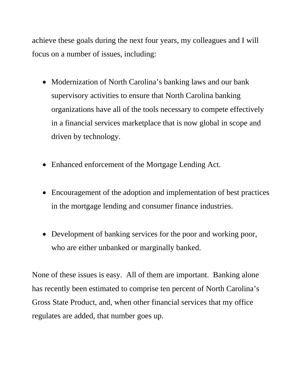achieve these goals during the next four years, my colleagues and I will focus on a number of issues, including:

- Modernization of North Carolina's banking laws and our bank supervisory activities to ensure that North Carolina banking organizations have all of the tools necessary to compete effectively in a financial services marketplace that is now global in scope and driven by technology.
- Enhanced enforcement of the Mortgage Lending Act.
- Encouragement of the adoption and implementation of best practices in the mortgage lending and consumer finance industries.
- Development of banking services for the poor and working poor, who are either unbanked or marginally banked.

None of these issues is easy. All of them are important. Banking alone has recently been estimated to comprise ten percent of North Carolina's Gross State Product, and, when other financial services that my office regulates are added, that number goes up.